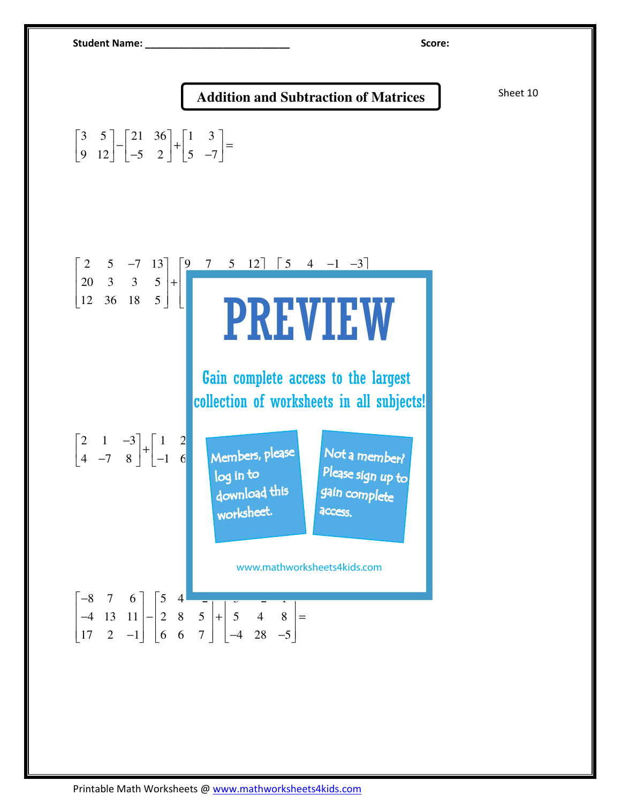